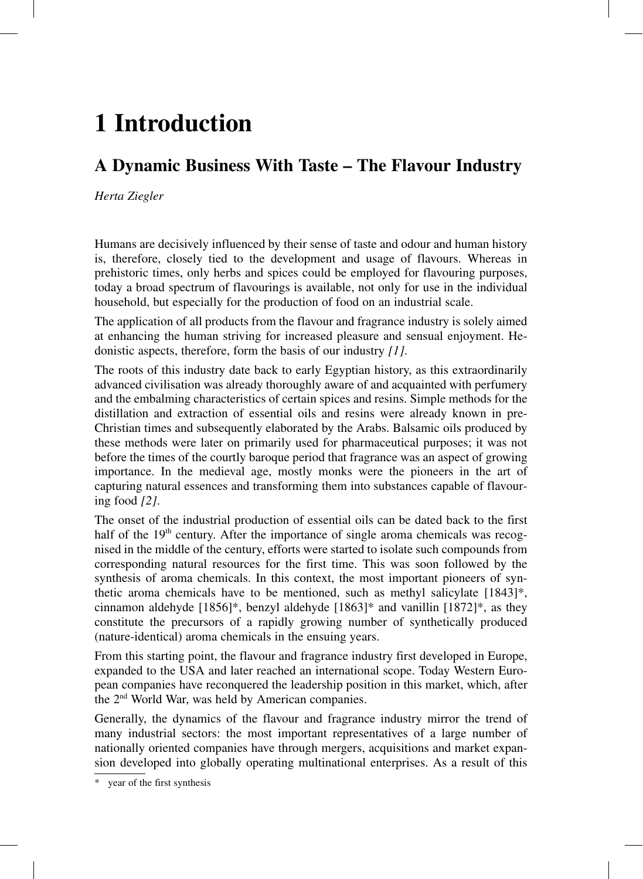# **1 Introduction**

## **A Dynamic Business With Taste – The Flavour Industry**

*Herta Ziegler*

Humans are decisively influenced by their sense of taste and odour and human history is, therefore, closely tied to the development and usage of flavours. Whereas in prehistoric times, only herbs and spices could be employed for flavouring purposes, today a broad spectrum of flavourings is available, not only for use in the individual household, but especially for the production of food on an industrial scale.

The application of all products from the flavour and fragrance industry is solely aimed at enhancing the human striving for increased pleasure and sensual enjoyment. Hedonistic aspects, therefore, form the basis of our industry *[1]*.

The roots of this industry date back to early Egyptian history, as this extraordinarily advanced civilisation was already thoroughly aware of and acquainted with perfumery and the embalming characteristics of certain spices and resins. Simple methods for the distillation and extraction of essential oils and resins were already known in pre-Christian times and subsequently elaborated by the Arabs. Balsamic oils produced by these methods were later on primarily used for pharmaceutical purposes; it was not before the times of the courtly baroque period that fragrance was an aspect of growing importance. In the medieval age, mostly monks were the pioneers in the art of capturing natural essences and transforming them into substances capable of flavouring food *[2]*. \*

The onset of the industrial production of essential oils can be dated back to the first half of the 19<sup>th</sup> century. After the importance of single aroma chemicals was recognised in the middle of the century, efforts were started to isolate such compounds from corresponding natural resources for the first time. This was soon followed by the synthesis of aroma chemicals. In this context, the most important pioneers of synthetic aroma chemicals have to be mentioned, such as methyl salicylate [1843]\*, cinnamon aldehyde [1856]\*, benzyl aldehyde [1863]\* and vanillin [1872]\*, as they constitute the precursors of a rapidly growing number of synthetically produced (nature-identical) aroma chemicals in the ensuing years.

From this starting point, the flavour and fragrance industry first developed in Europe, expanded to the USA and later reached an international scope. Today Western European companies have reconquered the leadership position in this market, which, after the 2nd World War, was held by American companies.

Generally, the dynamics of the flavour and fragrance industry mirror the trend of many industrial sectors: the most important representatives of a large number of nationally oriented companies have through mergers, acquisitions and market expansion developed into globally operating multinational enterprises. As a result of this

<sup>\*</sup> year of the first synthesis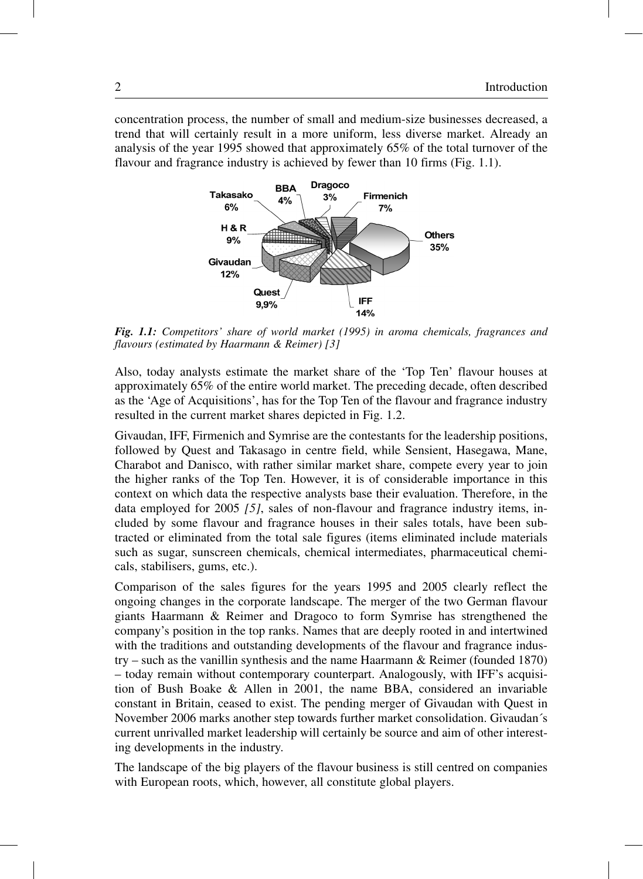concentration process, the number of small and medium-size businesses decreased, a trend that will certainly result in a more uniform, less diverse market. Already an analysis of the year 1995 showed that approximately 65% of the total turnover of the flavour and fragrance industry is achieved by fewer than 10 firms (Fig. 1.1).



*Fig. 1.1: Competitors' share of world market (1995) in aroma chemicals, fragrances and flavours (estimated by Haarmann & Reimer) [3]*

Also, today analysts estimate the market share of the 'Top Ten' flavour houses at approximately 65% of the entire world market. The preceding decade, often described as the 'Age of Acquisitions', has for the Top Ten of the flavour and fragrance industry resulted in the current market shares depicted in Fig. 1.2.

Givaudan, IFF, Firmenich and Symrise are the contestants for the leadership positions, followed by Quest and Takasago in centre field, while Sensient, Hasegawa, Mane, Charabot and Danisco, with rather similar market share, compete every year to join the higher ranks of the Top Ten. However, it is of considerable importance in this context on which data the respective analysts base their evaluation. Therefore, in the data employed for 2005 *[5]*, sales of non-flavour and fragrance industry items, included by some flavour and fragrance houses in their sales totals, have been subtracted or eliminated from the total sale figures (items eliminated include materials such as sugar, sunscreen chemicals, chemical intermediates, pharmaceutical chemicals, stabilisers, gums, etc.).

Comparison of the sales figures for the years 1995 and 2005 clearly reflect the ongoing changes in the corporate landscape. The merger of the two German flavour giants Haarmann & Reimer and Dragoco to form Symrise has strengthened the company's position in the top ranks. Names that are deeply rooted in and intertwined with the traditions and outstanding developments of the flavour and fragrance industry – such as the vanillin synthesis and the name Haarmann & Reimer (founded 1870) – today remain without contemporary counterpart. Analogously, with IFF's acquisition of Bush Boake & Allen in 2001, the name BBA, considered an invariable constant in Britain, ceased to exist. The pending merger of Givaudan with Quest in November 2006 marks another step towards further market consolidation. Givaudan´s current unrivalled market leadership will certainly be source and aim of other interesting developments in the industry.

The landscape of the big players of the flavour business is still centred on companies with European roots, which, however, all constitute global players.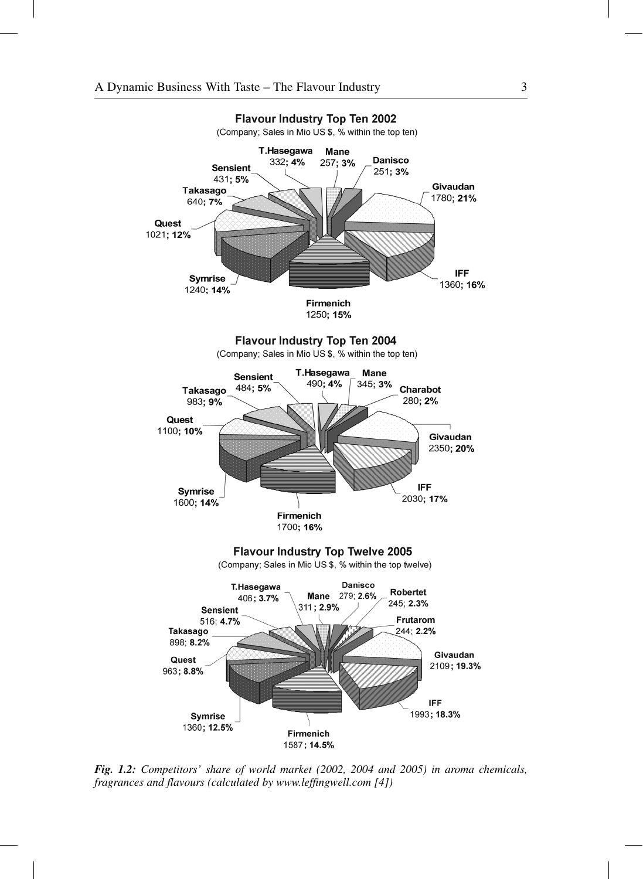

*Fig. 1.2: Competitors' share of world market (2002, 2004 and 2005) in aroma chemicals, fragrances and flavours (calculated by www.leffingwell.com [4])*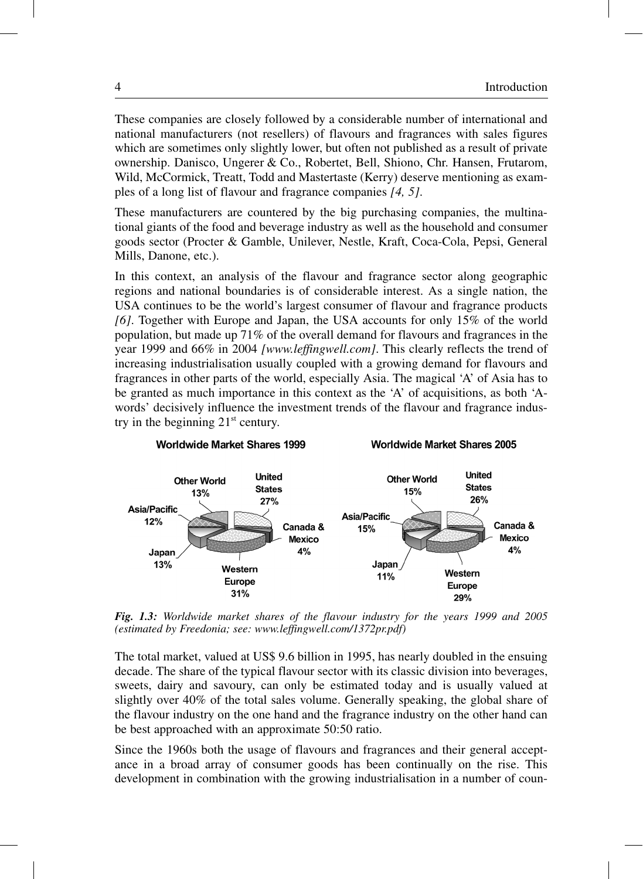These companies are closely followed by a considerable number of international and national manufacturers (not resellers) of flavours and fragrances with sales figures which are sometimes only slightly lower, but often not published as a result of private ownership. Danisco, Ungerer & Co., Robertet, Bell, Shiono, Chr. Hansen, Frutarom, Wild, McCormick, Treatt, Todd and Mastertaste (Kerry) deserve mentioning as examples of a long list of flavour and fragrance companies *[4, 5]*.

These manufacturers are countered by the big purchasing companies, the multinational giants of the food and beverage industry as well as the household and consumer goods sector (Procter & Gamble, Unilever, Nestle, Kraft, Coca-Cola, Pepsi, General Mills, Danone, etc.).

In this context, an analysis of the flavour and fragrance sector along geographic regions and national boundaries is of considerable interest. As a single nation, the USA continues to be the world's largest consumer of flavour and fragrance products *[6]*. Together with Europe and Japan, the USA accounts for only 15% of the world population, but made up 71% of the overall demand for flavours and fragrances in the year 1999 and 66% in 2004 *[www.leffingwell.com]*. This clearly reflects the trend of increasing industrialisation usually coupled with a growing demand for flavours and fragrances in other parts of the world, especially Asia. The magical 'A' of Asia has to be granted as much importance in this context as the 'A' of acquisitions, as both 'Awords' decisively influence the investment trends of the flavour and fragrance industry in the beginning  $21<sup>st</sup>$  century.



*Fig. 1.3: Worldwide market shares of the flavour industry for the years 1999 and 2005 (estimated by Freedonia; see: www.leffingwell.com/1372pr.pdf)*

The total market, valued at US\$ 9.6 billion in 1995, has nearly doubled in the ensuing decade. The share of the typical flavour sector with its classic division into beverages, sweets, dairy and savoury, can only be estimated today and is usually valued at slightly over 40% of the total sales volume. Generally speaking, the global share of the flavour industry on the one hand and the fragrance industry on the other hand can be best approached with an approximate 50:50 ratio.

Since the 1960s both the usage of flavours and fragrances and their general acceptance in a broad array of consumer goods has been continually on the rise. This development in combination with the growing industrialisation in a number of coun-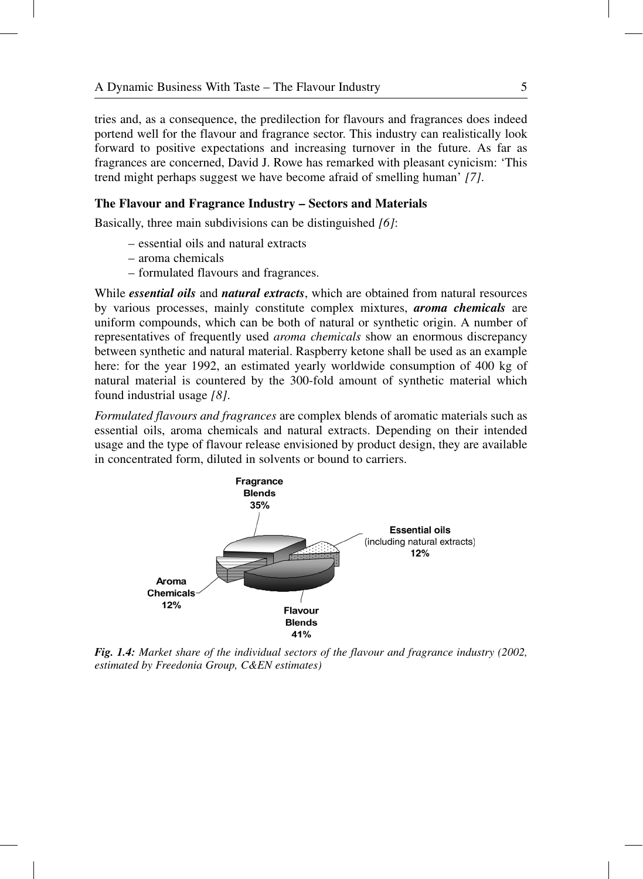tries and, as a consequence, the predilection for flavours and fragrances does indeed portend well for the flavour and fragrance sector. This industry can realistically look forward to positive expectations and increasing turnover in the future. As far as fragrances are concerned, David J. Rowe has remarked with pleasant cynicism: 'This trend might perhaps suggest we have become afraid of smelling human' *[7]*.

#### **The Flavour and Fragrance Industry – Sectors and Materials**

Basically, three main subdivisions can be distinguished *[6]*:

- essential oils and natural extracts
- aroma chemicals
- formulated flavours and fragrances.

While *essential oils* and *natural extracts*, which are obtained from natural resources by various processes, mainly constitute complex mixtures, *aroma chemicals* are uniform compounds, which can be both of natural or synthetic origin. A number of representatives of frequently used *aroma chemicals* show an enormous discrepancy between synthetic and natural material. Raspberry ketone shall be used as an example here: for the year 1992, an estimated yearly worldwide consumption of 400 kg of natural material is countered by the 300-fold amount of synthetic material which found industrial usage *[8]*.

*Formulated flavours and fragrances* are complex blends of aromatic materials such as essential oils, aroma chemicals and natural extracts. Depending on their intended usage and the type of flavour release envisioned by product design, they are available in concentrated form, diluted in solvents or bound to carriers.



*Fig. 1.4: Market share of the individual sectors of the flavour and fragrance industry (2002, estimated by Freedonia Group, C&EN estimates)*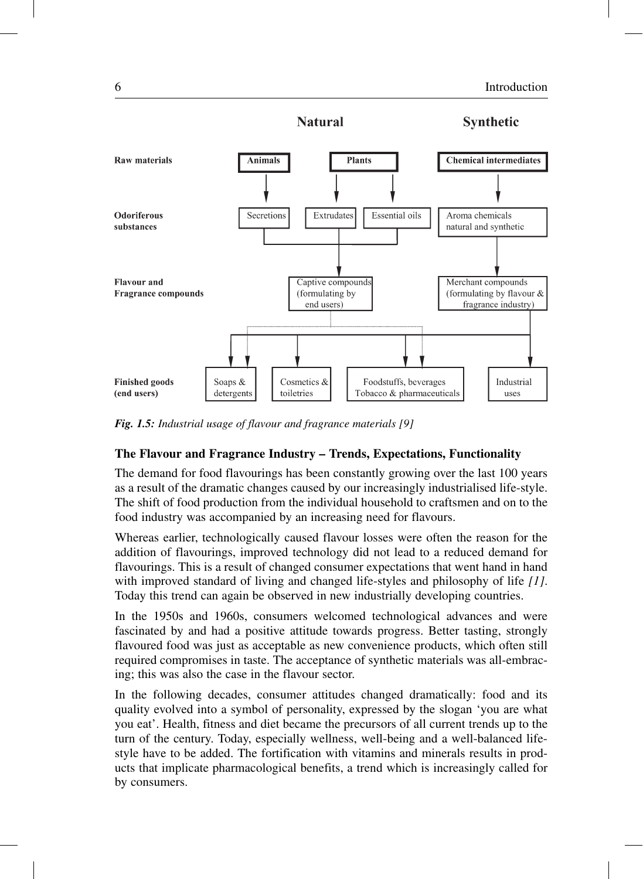

*Fig. 1.5: Industrial usage of flavour and fragrance materials [9]*

#### **The Flavour and Fragrance Industry – Trends, Expectations, Functionality**

The demand for food flavourings has been constantly growing over the last 100 years as a result of the dramatic changes caused by our increasingly industrialised life-style. The shift of food production from the individual household to craftsmen and on to the food industry was accompanied by an increasing need for flavours.

Whereas earlier, technologically caused flavour losses were often the reason for the addition of flavourings, improved technology did not lead to a reduced demand for flavourings. This is a result of changed consumer expectations that went hand in hand with improved standard of living and changed life-styles and philosophy of life *[1]*. Today this trend can again be observed in new industrially developing countries.

In the 1950s and 1960s, consumers welcomed technological advances and were fascinated by and had a positive attitude towards progress. Better tasting, strongly flavoured food was just as acceptable as new convenience products, which often still required compromises in taste. The acceptance of synthetic materials was all-embracing; this was also the case in the flavour sector.

In the following decades, consumer attitudes changed dramatically: food and its quality evolved into a symbol of personality, expressed by the slogan 'you are what you eat'. Health, fitness and diet became the precursors of all current trends up to the turn of the century. Today, especially wellness, well-being and a well-balanced lifestyle have to be added. The fortification with vitamins and minerals results in products that implicate pharmacological benefits, a trend which is increasingly called for by consumers.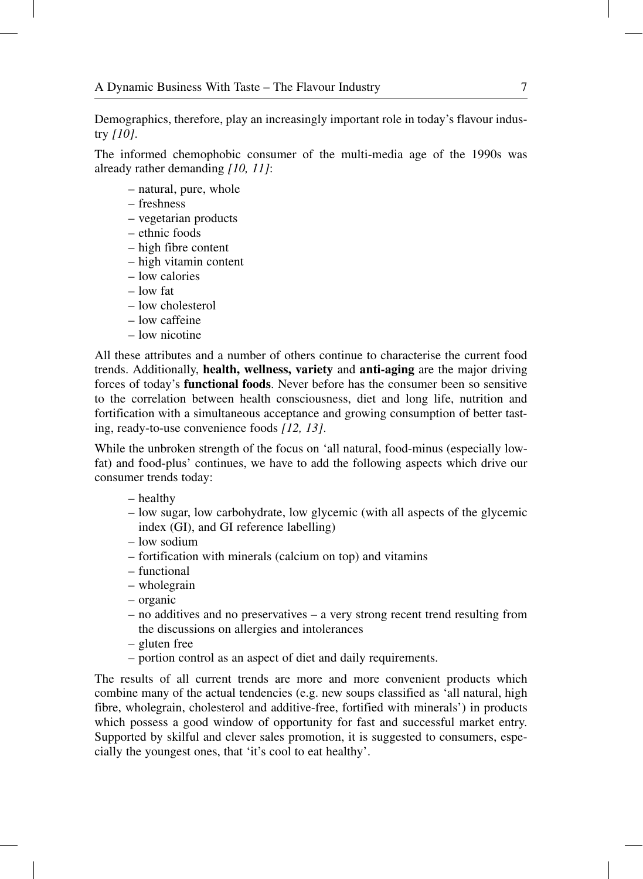Demographics, therefore, play an increasingly important role in today's flavour industry *[10]*.

The informed chemophobic consumer of the multi-media age of the 1990s was already rather demanding *[10, 11]*:

- natural, pure, whole
- freshness
- vegetarian products
- ethnic foods
- high fibre content
- high vitamin content
- low calories
- low fat
- low cholesterol
- low caffeine
- low nicotine

All these attributes and a number of others continue to characterise the current food trends. Additionally, **health, wellness, variety** and **anti-aging** are the major driving forces of today's **functional foods**. Never before has the consumer been so sensitive to the correlation between health consciousness, diet and long life, nutrition and fortification with a simultaneous acceptance and growing consumption of better tasting, ready-to-use convenience foods *[12, 13]*.

While the unbroken strength of the focus on 'all natural, food-minus (especially lowfat) and food-plus' continues, we have to add the following aspects which drive our consumer trends today:

- healthy
- low sugar, low carbohydrate, low glycemic (with all aspects of the glycemic index (GI), and GI reference labelling)
- low sodium
- fortification with minerals (calcium on top) and vitamins
- functional
- wholegrain
- organic
- no additives and no preservatives a very strong recent trend resulting from the discussions on allergies and intolerances
- gluten free
- portion control as an aspect of diet and daily requirements.

The results of all current trends are more and more convenient products which combine many of the actual tendencies (e.g. new soups classified as 'all natural, high fibre, wholegrain, cholesterol and additive-free, fortified with minerals') in products which possess a good window of opportunity for fast and successful market entry. Supported by skilful and clever sales promotion, it is suggested to consumers, especially the youngest ones, that 'it's cool to eat healthy'.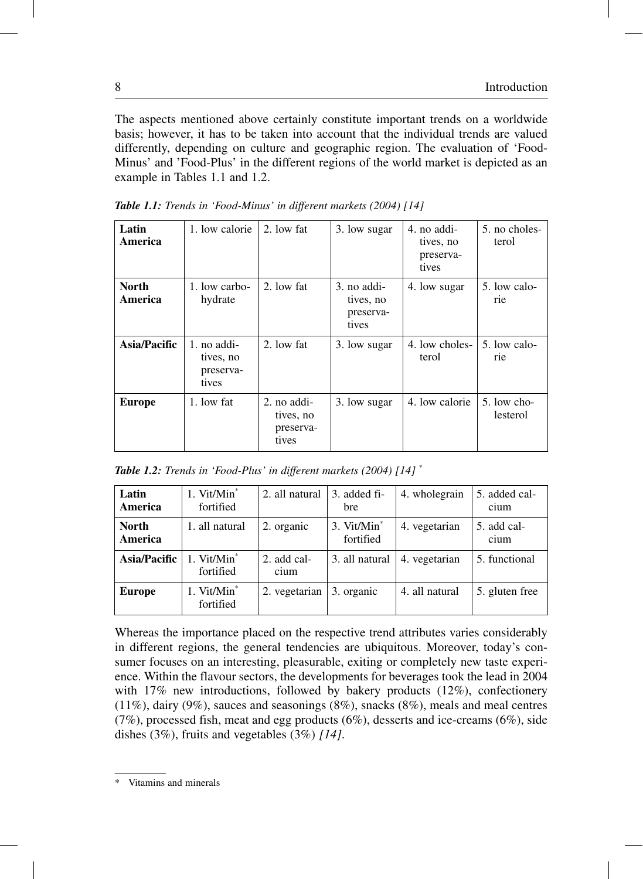The aspects mentioned above certainly constitute important trends on a worldwide basis; however, it has to be taken into account that the individual trends are valued differently, depending on culture and geographic region. The evaluation of 'Food-Minus' and 'Food-Plus' in the different regions of the world market is depicted as an example in Tables 1.1 and 1.2.

| Latin<br>America        | 1. low calorie                                   | 2. low fat                                     | 3. low sugar                                     | 4. no addi-<br>tives, no<br>preserva-<br>tives | 5. no choles-<br>terol  |
|-------------------------|--------------------------------------------------|------------------------------------------------|--------------------------------------------------|------------------------------------------------|-------------------------|
| <b>North</b><br>America | 1. low carbo-<br>hydrate                         | 2. low fat                                     | $3.$ no addi-<br>tives, no<br>preserva-<br>tives | 4. low sugar                                   | 5. low calo-<br>rie     |
| Asia/Pacific            | $1. no addi-$<br>tives, no<br>preserva-<br>tives | 2. low fat                                     | 3. low sugar                                     | 4. low choles-<br>terol                        | 5. low calo-<br>rie     |
| <b>Europe</b>           | 1. low fat                                       | 2. no addi-<br>tives, no<br>preserva-<br>tives | 3. low sugar                                     | 4. low calorie                                 | 5. low cho-<br>lesterol |

*Table 1.1: Trends in 'Food-Minus' in different markets (2004) [14]*

*Table 1.2: Trends in 'Food-Plus' in different markets (2004) [14] \**

| Latin<br>America        | 1. Vit/Min <sup>*</sup><br>fortified | 2. all natural        | 3. added fi-<br><b>bre</b>  | 4. wholegrain  | 5. added cal-<br>cium |
|-------------------------|--------------------------------------|-----------------------|-----------------------------|----------------|-----------------------|
| <b>North</b><br>America | 1. all natural                       | 2. organic            | $3. Vit/Min^*$<br>fortified | 4. vegetarian  | 5. add cal-<br>cium   |
| Asia/Pacific            | 1. Vit/Min <sup>*</sup><br>fortified | $2.$ add cal-<br>cium | 3. all natural              | 4. vegetarian  | 5. functional         |
| <b>Europe</b>           | 1. $Vit/Min^*$<br>fortified          | 2. vegetarian         | 3. organic                  | 4. all natural | 5. gluten free        |

Whereas the importance placed on the respective trend attributes varies considerably in different regions, the general tendencies are ubiquitous. Moreover, today's consumer focuses on an interesting, pleasurable, exiting or completely new taste experience. Within the flavour sectors, the developments for beverages took the lead in 2004 with 17% new introductions, followed by bakery products (12%), confectionery (11%), dairy (9%), sauces and seasonings (8%), snacks (8%), meals and meal centres (7%), processed fish, meat and egg products (6%), desserts and ice-creams (6%), side dishes (3%), fruits and vegetables (3%) *[14]*.

Vitamins and minerals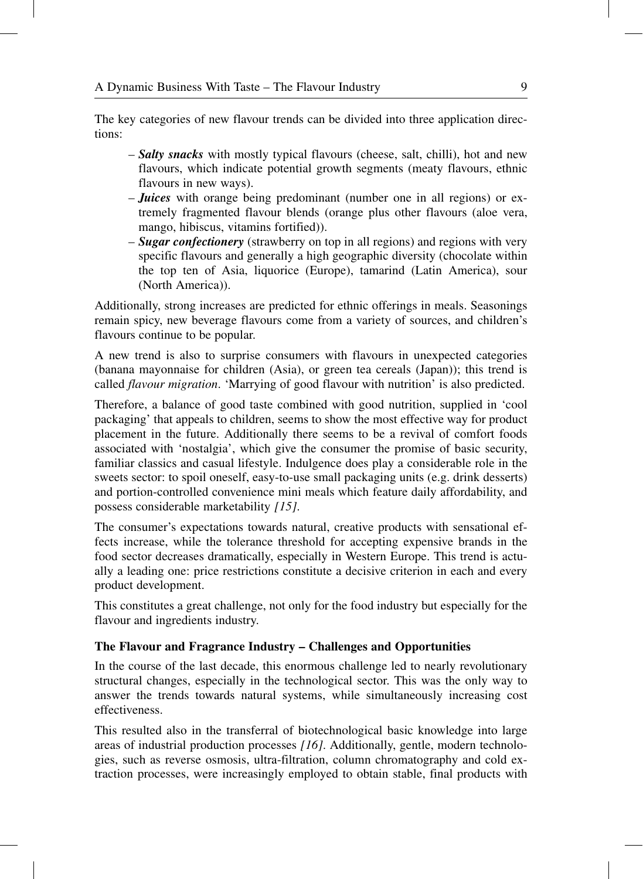The key categories of new flavour trends can be divided into three application directions:

- *Salty snacks* with mostly typical flavours (cheese, salt, chilli), hot and new flavours, which indicate potential growth segments (meaty flavours, ethnic flavours in new ways).
- *Juices* with orange being predominant (number one in all regions) or extremely fragmented flavour blends (orange plus other flavours (aloe vera, mango, hibiscus, vitamins fortified)).
- *Sugar confectionery* (strawberry on top in all regions) and regions with very specific flavours and generally a high geographic diversity (chocolate within the top ten of Asia, liquorice (Europe), tamarind (Latin America), sour (North America)).

Additionally, strong increases are predicted for ethnic offerings in meals. Seasonings remain spicy, new beverage flavours come from a variety of sources, and children's flavours continue to be popular.

A new trend is also to surprise consumers with flavours in unexpected categories (banana mayonnaise for children (Asia), or green tea cereals (Japan)); this trend is called *flavour migration*. 'Marrying of good flavour with nutrition' is also predicted.

Therefore, a balance of good taste combined with good nutrition, supplied in 'cool packaging' that appeals to children, seems to show the most effective way for product placement in the future. Additionally there seems to be a revival of comfort foods associated with 'nostalgia', which give the consumer the promise of basic security, familiar classics and casual lifestyle. Indulgence does play a considerable role in the sweets sector: to spoil oneself, easy-to-use small packaging units (e.g. drink desserts) and portion-controlled convenience mini meals which feature daily affordability, and possess considerable marketability *[15]*.

The consumer's expectations towards natural, creative products with sensational effects increase, while the tolerance threshold for accepting expensive brands in the food sector decreases dramatically, especially in Western Europe. This trend is actually a leading one: price restrictions constitute a decisive criterion in each and every product development.

This constitutes a great challenge, not only for the food industry but especially for the flavour and ingredients industry.

### **The Flavour and Fragrance Industry – Challenges and Opportunities**

In the course of the last decade, this enormous challenge led to nearly revolutionary structural changes, especially in the technological sector. This was the only way to answer the trends towards natural systems, while simultaneously increasing cost effectiveness.

This resulted also in the transferral of biotechnological basic knowledge into large areas of industrial production processes *[16]*. Additionally, gentle, modern technologies, such as reverse osmosis, ultra-filtration, column chromatography and cold extraction processes, were increasingly employed to obtain stable, final products with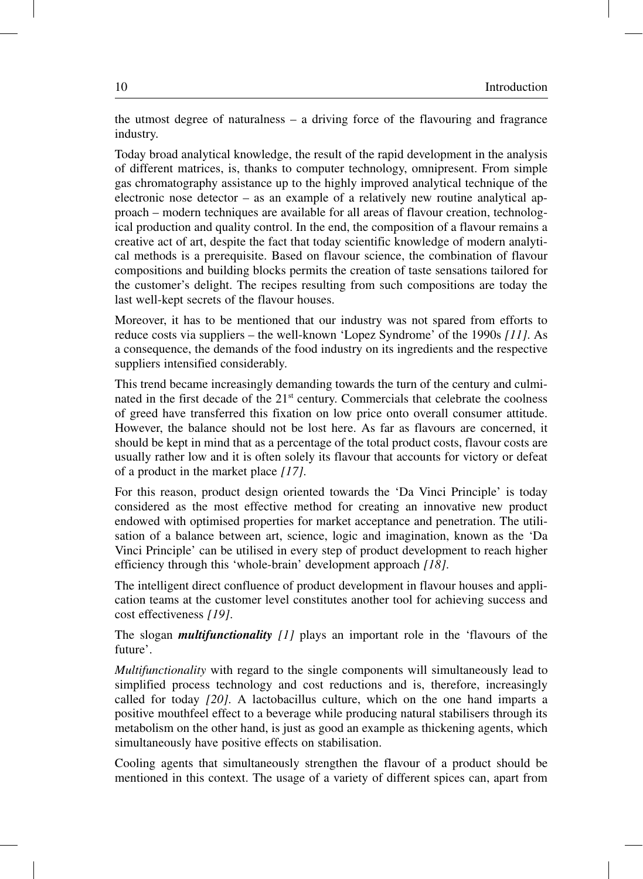the utmost degree of naturalness – a driving force of the flavouring and fragrance industry.

Today broad analytical knowledge, the result of the rapid development in the analysis of different matrices, is, thanks to computer technology, omnipresent. From simple gas chromatography assistance up to the highly improved analytical technique of the electronic nose detector – as an example of a relatively new routine analytical approach – modern techniques are available for all areas of flavour creation, technological production and quality control. In the end, the composition of a flavour remains a creative act of art, despite the fact that today scientific knowledge of modern analytical methods is a prerequisite. Based on flavour science, the combination of flavour compositions and building blocks permits the creation of taste sensations tailored for the customer's delight. The recipes resulting from such compositions are today the last well-kept secrets of the flavour houses.

Moreover, it has to be mentioned that our industry was not spared from efforts to reduce costs via suppliers – the well-known 'Lopez Syndrome' of the 1990s *[11]*. As a consequence, the demands of the food industry on its ingredients and the respective suppliers intensified considerably.

This trend became increasingly demanding towards the turn of the century and culminated in the first decade of the 21<sup>st</sup> century. Commercials that celebrate the coolness of greed have transferred this fixation on low price onto overall consumer attitude. However, the balance should not be lost here. As far as flavours are concerned, it should be kept in mind that as a percentage of the total product costs, flavour costs are usually rather low and it is often solely its flavour that accounts for victory or defeat of a product in the market place *[17]*.

For this reason, product design oriented towards the 'Da Vinci Principle' is today considered as the most effective method for creating an innovative new product endowed with optimised properties for market acceptance and penetration. The utilisation of a balance between art, science, logic and imagination, known as the 'Da Vinci Principle' can be utilised in every step of product development to reach higher efficiency through this 'whole-brain' development approach *[18]*.

The intelligent direct confluence of product development in flavour houses and application teams at the customer level constitutes another tool for achieving success and cost effectiveness *[19]*.

The slogan *multifunctionality [1]* plays an important role in the 'flavours of the future'.

*Multifunctionality* with regard to the single components will simultaneously lead to simplified process technology and cost reductions and is, therefore, increasingly called for today *[20]*. A lactobacillus culture, which on the one hand imparts a positive mouthfeel effect to a beverage while producing natural stabilisers through its metabolism on the other hand, is just as good an example as thickening agents, which simultaneously have positive effects on stabilisation.

Cooling agents that simultaneously strengthen the flavour of a product should be mentioned in this context. The usage of a variety of different spices can, apart from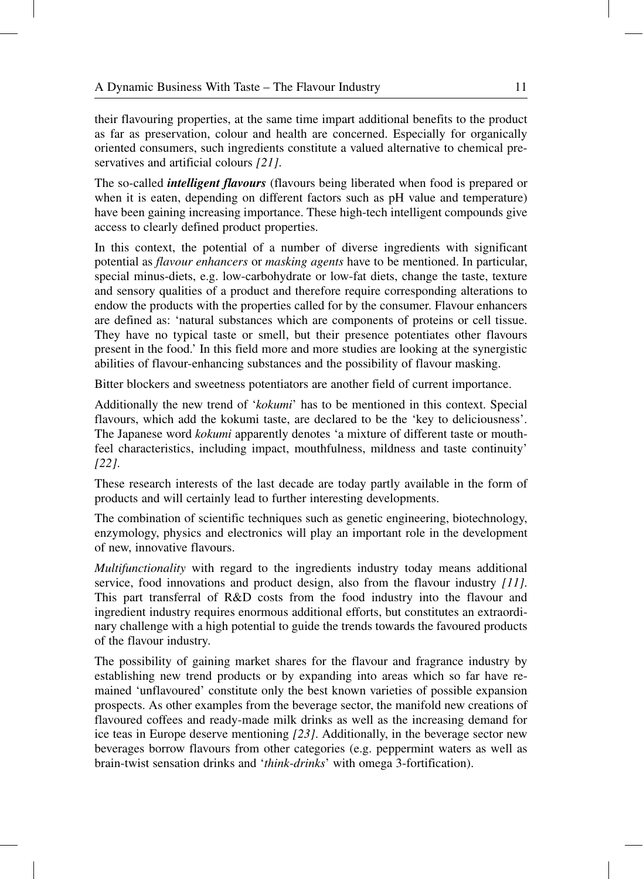their flavouring properties, at the same time impart additional benefits to the product as far as preservation, colour and health are concerned. Especially for organically oriented consumers, such ingredients constitute a valued alternative to chemical preservatives and artificial colours *[21]*.

The so-called *intelligent flavours* (flavours being liberated when food is prepared or when it is eaten, depending on different factors such as pH value and temperature) have been gaining increasing importance. These high-tech intelligent compounds give access to clearly defined product properties.

In this context, the potential of a number of diverse ingredients with significant potential as *flavour enhancers* or *masking agents* have to be mentioned. In particular, special minus-diets, e.g. low-carbohydrate or low-fat diets, change the taste, texture and sensory qualities of a product and therefore require corresponding alterations to endow the products with the properties called for by the consumer. Flavour enhancers are defined as: 'natural substances which are components of proteins or cell tissue. They have no typical taste or smell, but their presence potentiates other flavours present in the food.' In this field more and more studies are looking at the synergistic abilities of flavour-enhancing substances and the possibility of flavour masking.

Bitter blockers and sweetness potentiators are another field of current importance.

Additionally the new trend of '*kokumi*' has to be mentioned in this context. Special flavours, which add the kokumi taste, are declared to be the 'key to deliciousness'. The Japanese word *kokumi* apparently denotes 'a mixture of different taste or mouthfeel characteristics, including impact, mouthfulness, mildness and taste continuity' *[22]*.

These research interests of the last decade are today partly available in the form of products and will certainly lead to further interesting developments.

The combination of scientific techniques such as genetic engineering, biotechnology, enzymology, physics and electronics will play an important role in the development of new, innovative flavours.

*Multifunctionality* with regard to the ingredients industry today means additional service, food innovations and product design, also from the flavour industry *[11]*. This part transferral of R&D costs from the food industry into the flavour and ingredient industry requires enormous additional efforts, but constitutes an extraordinary challenge with a high potential to guide the trends towards the favoured products of the flavour industry.

The possibility of gaining market shares for the flavour and fragrance industry by establishing new trend products or by expanding into areas which so far have remained 'unflavoured' constitute only the best known varieties of possible expansion prospects. As other examples from the beverage sector, the manifold new creations of flavoured coffees and ready-made milk drinks as well as the increasing demand for ice teas in Europe deserve mentioning *[23]*. Additionally, in the beverage sector new beverages borrow flavours from other categories (e.g. peppermint waters as well as brain-twist sensation drinks and '*think-drinks*' with omega 3-fortification).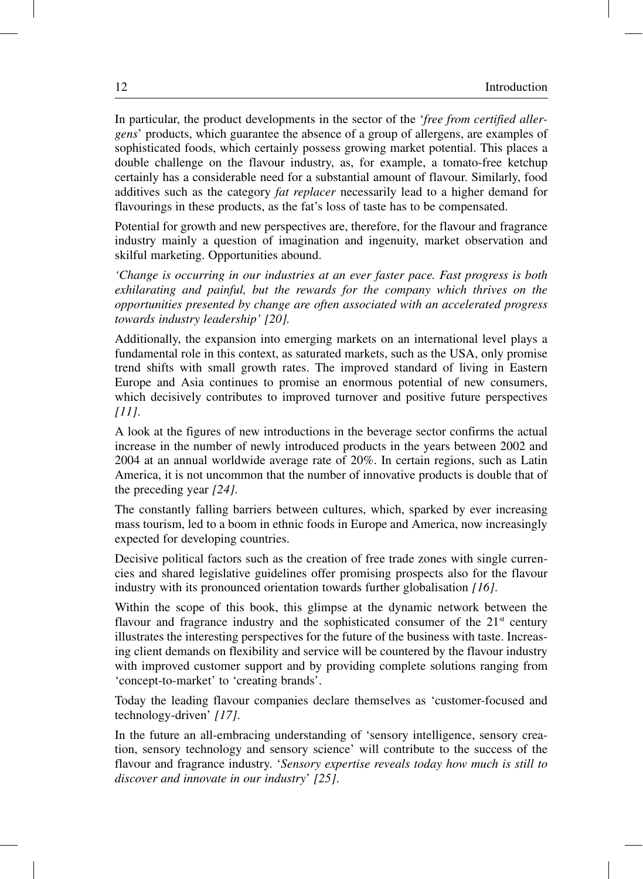In particular, the product developments in the sector of the '*free from certified allergens*' products, which guarantee the absence of a group of allergens, are examples of sophisticated foods, which certainly possess growing market potential. This places a double challenge on the flavour industry, as, for example, a tomato-free ketchup certainly has a considerable need for a substantial amount of flavour. Similarly, food additives such as the category *fat replacer* necessarily lead to a higher demand for flavourings in these products, as the fat's loss of taste has to be compensated.

Potential for growth and new perspectives are, therefore, for the flavour and fragrance industry mainly a question of imagination and ingenuity, market observation and skilful marketing. Opportunities abound.

*'Change is occurring in our industries at an ever faster pace. Fast progress is both exhilarating and painful, but the rewards for the company which thrives on the opportunities presented by change are often associated with an accelerated progress towards industry leadership' [20].*

Additionally, the expansion into emerging markets on an international level plays a fundamental role in this context, as saturated markets, such as the USA, only promise trend shifts with small growth rates. The improved standard of living in Eastern Europe and Asia continues to promise an enormous potential of new consumers, which decisively contributes to improved turnover and positive future perspectives *[11]*.

A look at the figures of new introductions in the beverage sector confirms the actual increase in the number of newly introduced products in the years between 2002 and 2004 at an annual worldwide average rate of 20%. In certain regions, such as Latin America, it is not uncommon that the number of innovative products is double that of the preceding year *[24]*.

The constantly falling barriers between cultures, which, sparked by ever increasing mass tourism, led to a boom in ethnic foods in Europe and America, now increasingly expected for developing countries.

Decisive political factors such as the creation of free trade zones with single currencies and shared legislative guidelines offer promising prospects also for the flavour industry with its pronounced orientation towards further globalisation *[16]*.

Within the scope of this book, this glimpse at the dynamic network between the flavour and fragrance industry and the sophisticated consumer of the  $21<sup>st</sup>$  century illustrates the interesting perspectives for the future of the business with taste. Increasing client demands on flexibility and service will be countered by the flavour industry with improved customer support and by providing complete solutions ranging from 'concept-to-market' to 'creating brands'.

Today the leading flavour companies declare themselves as 'customer-focused and technology-driven' *[17]*.

In the future an all-embracing understanding of 'sensory intelligence, sensory creation, sensory technology and sensory science' will contribute to the success of the flavour and fragrance industry. '*Sensory expertise reveals today how much is still to discover and innovate in our industry*' *[25]*.